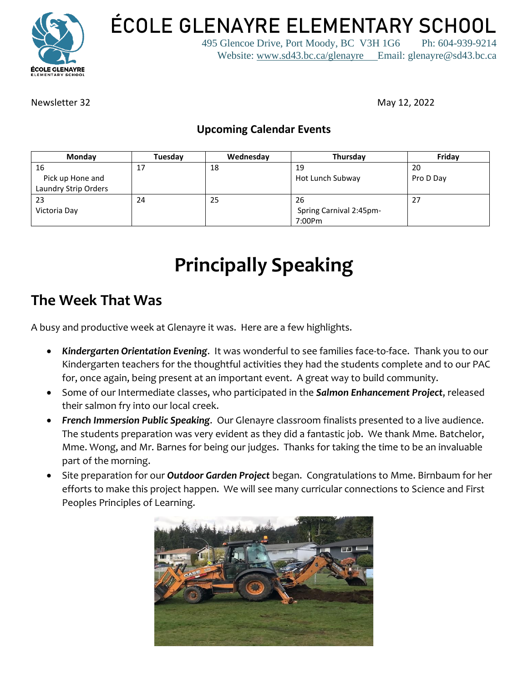

**ÉCOLE GLENAYRE ELEMENTARY SCHOOL**

495 Glencoe Drive, Port Moody, BC V3H 1G6 Ph: 604-939-9214 Website: [www.sd43.bc.ca/glenayre](http://www.sd43.bc.ca/glenayre) Email: glenayre@sd43.bc.ca

Newsletter 32 May 12, 2022

#### **Upcoming Calendar Events**

| Monday               | Tuesdav | Wednesday | Thursday                | Friday    |
|----------------------|---------|-----------|-------------------------|-----------|
| 16                   | 17      | 18        | 19                      | 20        |
| Pick up Hone and     |         |           | Hot Lunch Subway        | Pro D Day |
| Laundry Strip Orders |         |           |                         |           |
| 23                   | 24      | 25        | 26                      | 27        |
| Victoria Day         |         |           | Spring Carnival 2:45pm- |           |
|                      |         |           | 7:00Pm                  |           |

# **Principally Speaking**

## **The Week That Was**

A busy and productive week at Glenayre it was. Here are a few highlights.

- *Kindergarten Orientation Evening*. It was wonderful to see families face-to-face. Thank you to our Kindergarten teachers for the thoughtful activities they had the students complete and to our PAC for, once again, being present at an important event. A great way to build community.
- Some of our Intermediate classes, who participated in the *Salmon Enhancement Project*, released their salmon fry into our local creek.
- *French Immersion Public Speaking*. Our Glenayre classroom finalists presented to a live audience. The students preparation was very evident as they did a fantastic job. We thank Mme. Batchelor, Mme. Wong, and Mr. Barnes for being our judges. Thanks for taking the time to be an invaluable part of the morning.
- Site preparation for our *Outdoor Garden Project* began. Congratulations to Mme. Birnbaum for her efforts to make this project happen. We will see many curricular connections to Science and First Peoples Principles of Learning.

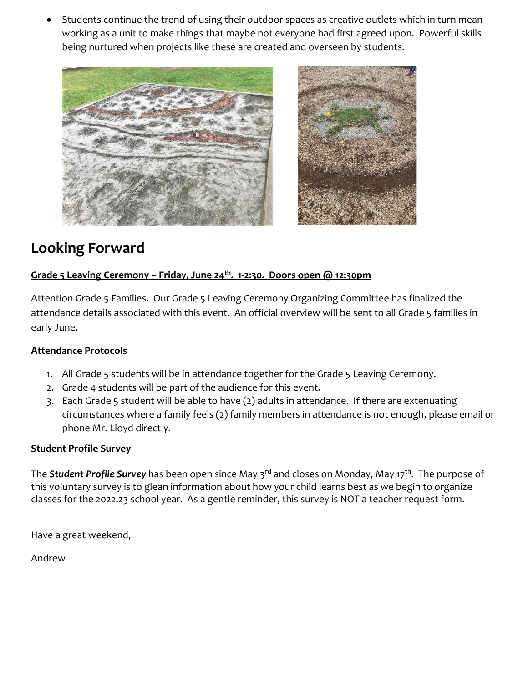• Students continue the trend of using their outdoor spaces as creative outlets which in turn mean working as a unit to make things that maybe not everyone had first agreed upon. Powerful skills being nurtured when projects like these are created and overseen by students.



# **Looking Forward**

#### **Grade 5 Leaving Ceremony – Friday, June 24th. 1-2:30. Doors open @ 12:30pm**

Attention Grade 5 Families. Our Grade 5 Leaving Ceremony Organizing Committee has finalized the attendance details associated with this event. An official overview will be sent to all Grade 5 families in early June.

#### **Attendance Protocols**

- 1. All Grade 5 students will be in attendance together for the Grade 5 Leaving Ceremony.
- 2. Grade 4 students will be part of the audience for this event.
- 3. Each Grade 5 student will be able to have (2) adults in attendance. If there are extenuating circumstances where a family feels (2) family members in attendance is not enough, please email or phone Mr. Lloyd directly.

#### **Student Profile Survey**

The *Student Profile Survey* has been open since May 3rd and closes on Monday, May 17th . The purpose of this voluntary survey is to glean information about how your child learns best as we begin to organize classes for the 2022.23 school year. As a gentle reminder, this survey is NOT a teacher request form.

Have a great weekend,

Andrew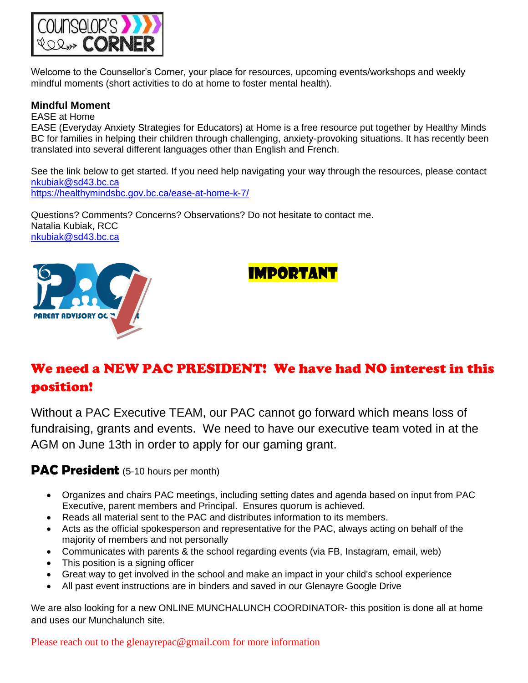

Welcome to the Counsellor's Corner, your place for resources, upcoming events/workshops and weekly mindful moments (short activities to do at home to foster mental health).

#### **Mindful Moment**

EASE at Home EASE (Everyday Anxiety Strategies for Educators) at Home is a free resource put together by Healthy Minds BC for families in helping their children through challenging, anxiety-provoking situations. It has recently been translated into several different languages other than English and French.

See the link below to get started. If you need help navigating your way through the resources, please contact [nkubiak@sd43.bc.ca](mailto:nkubiak@sd43.bc.ca) <https://healthymindsbc.gov.bc.ca/ease-at-home-k-7/>

Questions? Comments? Concerns? Observations? Do not hesitate to contact me. Natalia Kubiak, RCC [nkubiak@sd43.bc.ca](mailto:nkubiak@sd43.bc.ca)





# We need a NEW PAC PRESIDENT! We have had NO interest in this position!

Without a PAC Executive TEAM, our PAC cannot go forward which means loss of fundraising, grants and events. We need to have our executive team voted in at the AGM on June 13th in order to apply for our gaming grant.

#### **PAC President** (5-10 hours per month)

- Organizes and chairs PAC meetings, including setting dates and agenda based on input from PAC Executive, parent members and Principal. Ensures quorum is achieved.
- Reads all material sent to the PAC and distributes information to its members.
- Acts as the official spokesperson and representative for the PAC, always acting on behalf of the majority of members and not personally
- Communicates with parents & the school regarding events (via FB, Instagram, email, web)
- This position is a signing officer
- Great way to get involved in the school and make an impact in your child's school experience
- All past event instructions are in binders and saved in our Glenayre Google Drive

We are also looking for a new ONLINE MUNCHALUNCH COORDINATOR- this position is done all at home and uses our Munchalunch site.

Please reach out to the glenayrepac@gmail.com for more information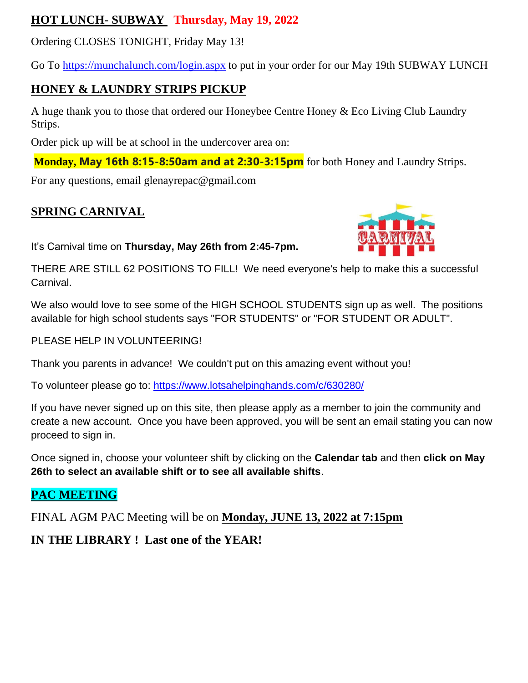### **HOT LUNCH- SUBWAY Thursday, May 19, 2022**

Ordering CLOSES TONIGHT, Friday May 13!

Go To<https://munchalunch.com/login.aspx> to put in your order for our May 19th SUBWAY LUNCH

## **HONEY & LAUNDRY STRIPS PICKUP**

A huge thank you to those that ordered our Honeybee Centre Honey & Eco Living Club Laundry Strips.

Order pick up will be at school in the undercover area on:

**Monday, May 16th 8:15-8:50am and at 2:30-3:15pm** for both Honey and Laundry Strips.

For any questions, email glenayrepac@gmail.com

## **SPRING CARNIVAL**

It's Carnival time on **Thursday, May 26th from 2:45-7pm.**



THERE ARE STILL 62 POSITIONS TO FILL! We need everyone's help to make this a successful Carnival.

We also would love to see some of the HIGH SCHOOL STUDENTS sign up as well. The positions available for high school students says "FOR STUDENTS" or "FOR STUDENT OR ADULT".

PLEASE HELP IN VOLUNTEERING!

Thank you parents in advance! We couldn't put on this amazing event without you!

To volunteer please go to:<https://www.lotsahelpinghands.com/c/630280/>

If you have never signed up on this site, then please apply as a member to join the community and create a new account. Once you have been approved, you will be sent an email stating you can now proceed to sign in.

Once signed in, choose your volunteer shift by clicking on the **Calendar tab** and then **click on May 26th to select an available shift or to see all available shifts**.

## **PAC MEETING**

FINAL AGM PAC Meeting will be on **Monday, JUNE 13, 2022 at 7:15pm** 

## **IN THE LIBRARY ! Last one of the YEAR!**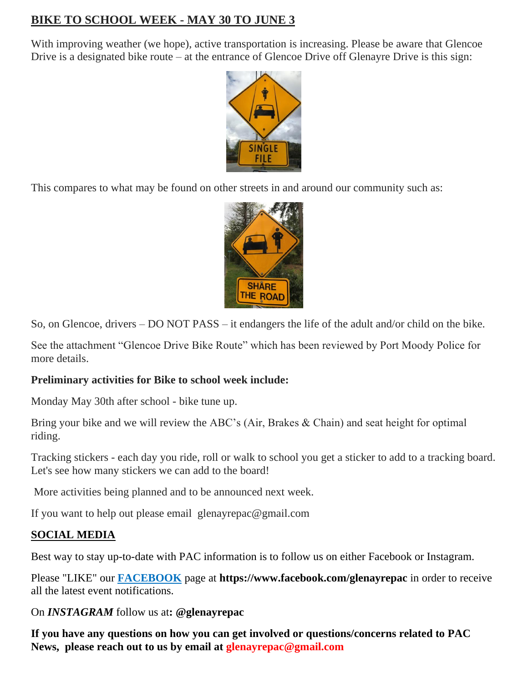## **BIKE TO SCHOOL WEEK - MAY 30 TO JUNE 3**

With improving weather (we hope), active transportation is increasing. Please be aware that Glencoe Drive is a designated bike route – at the entrance of Glencoe Drive off Glenayre Drive is this sign:



This compares to what may be found on other streets in and around our community such as:



So, on Glencoe, drivers – DO NOT PASS – it endangers the life of the adult and/or child on the bike.

See the attachment "Glencoe Drive Bike Route" which has been reviewed by Port Moody Police for more details.

#### **Preliminary activities for Bike to school week include:**

Monday May 30th after school - bike tune up.

Bring your bike and we will review the ABC's (Air, Brakes & Chain) and seat height for optimal riding.

Tracking stickers - each day you ride, roll or walk to school you get a sticker to add to a tracking board. Let's see how many stickers we can add to the board!

More activities being planned and to be announced next week.

If you want to help out please email glenayrepac@gmail.com

#### **SOCIAL MEDIA**

Best way to stay up-to-date with PAC information is to follow us on either Facebook or Instagram.

Please "LIKE" our **FACEBOOK** page at **https://www.facebook.com/glenayrepac** in order to receive all the latest event notifications.

On *INSTAGRAM* follow us at**: @glenayrepac**

**If you have any questions on how you can get involved or questions/concerns related to PAC News, please reach out to us by email at glenayrepac@gmail.com**